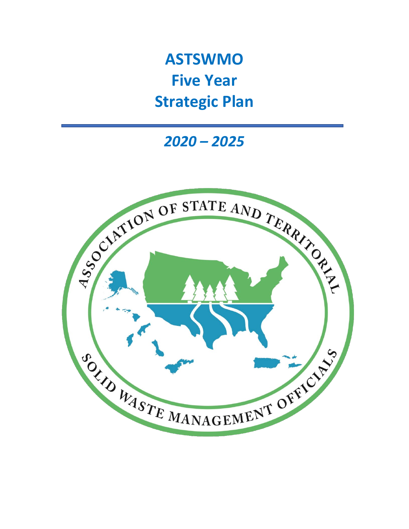**ASTSWMO Five Year Strategic Plan**

*2020 – 2025*

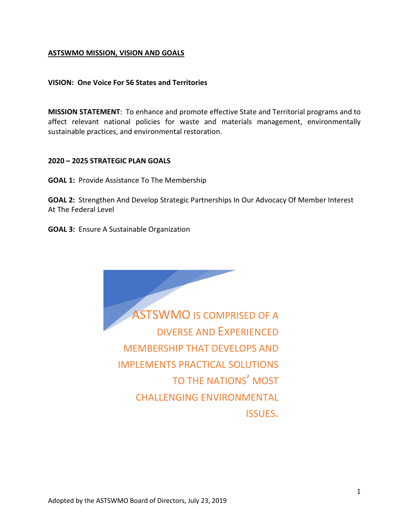# **ASTSWMO MISSION, VISION AND GOALS**

## **VISION: One Voice For 56 States and Territories**

**MISSION STATEMENT**: To enhance and promote effective State and Territorial programs and to affect relevant national policies for waste and materials management, environmentally sustainable practices, and environmental restoration.

## **2020 – 2025 STRATEGIC PLAN GOALS**

**GOAL 1:** Provide Assistance To The Membership

**GOAL 2:** Strengthen And Develop Strategic Partnerships In Our Advocacy Of Member Interest At The Federal Level

**GOAL 3:** Ensure A Sustainable Organization

ASTSWMO IS COMPRISED OF A DIVERSE AND EXPERIENCED MEMBERSHIP THAT DEVELOPS AND IMPLEMENTS PRACTICAL SOLUTIONS TO THE NATIONS' MOST CHALLENGING ENVIRONMENTAL ISSUES.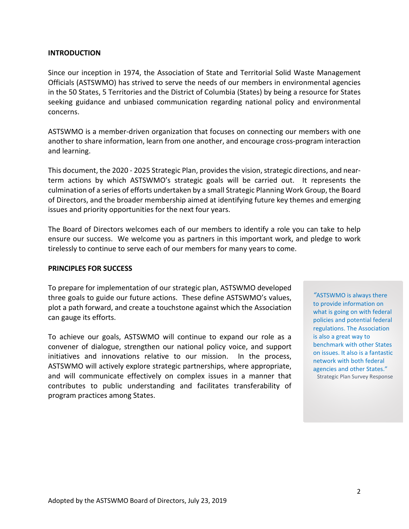## **INTRODUCTION**

Since our inception in 1974, the Association of State and Territorial Solid Waste Management Officials (ASTSWMO) has strived to serve the needs of our members in environmental agencies in the 50 States, 5 Territories and the District of Columbia (States) by being a resource for States seeking guidance and unbiased communication regarding national policy and environmental concerns.

ASTSWMO is a member-driven organization that focuses on connecting our members with one another to share information, learn from one another, and encourage cross-program interaction and learning.

This document, the 2020 - 2025 Strategic Plan, provides the vision, strategic directions, and nearterm actions by which ASTSWMO's strategic goals will be carried out. It represents the culmination of a series of efforts undertaken by a small Strategic Planning Work Group, the Board of Directors, and the broader membership aimed at identifying future key themes and emerging issues and priority opportunities for the next four years.

The Board of Directors welcomes each of our members to identify a role you can take to help ensure our success. We welcome you as partners in this important work, and pledge to work tirelessly to continue to serve each of our members for many years to come.

#### **PRINCIPLES FOR SUCCESS**

To prepare for implementation of our strategic plan, ASTSWMO developed three goals to guide our future actions. These define ASTSWMO's values, plot a path forward, and create a touchstone against which the Association can gauge its efforts.

To achieve our goals, ASTSWMO will continue to expand our role as a convener of dialogue, strengthen our national policy voice, and support initiatives and innovations relative to our mission. In the process, ASTSWMO will actively explore strategic partnerships, where appropriate, and will communicate effectively on complex issues in a manner that contributes to public understanding and facilitates transferability of program practices among States.

*"*ASTSWMO is always there to provide information on what is going on with federal policies and potential federal regulations. The Association is also a great way to benchmark with other States on issues. It also is a fantastic network with both federal agencies and other States." Strategic Plan Survey Response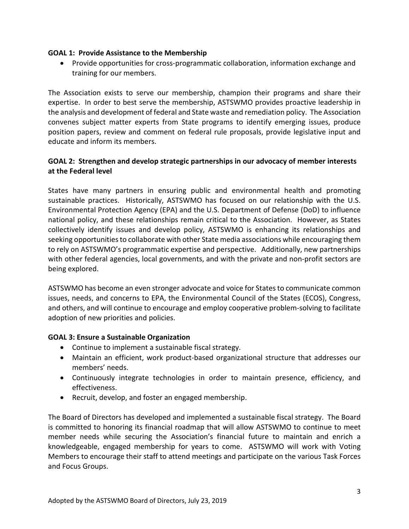# **GOAL 1: Provide Assistance to the Membership**

• Provide opportunities for cross-programmatic collaboration, information exchange and training for our members.

The Association exists to serve our membership, champion their programs and share their expertise. In order to best serve the membership, ASTSWMO provides proactive leadership in the analysis and development of federal and State waste and remediation policy. The Association convenes subject matter experts from State programs to identify emerging issues, produce position papers, review and comment on federal rule proposals, provide legislative input and educate and inform its members.

# **GOAL 2: Strengthen and develop strategic partnerships in our advocacy of member interests at the Federal level**

States have many partners in ensuring public and environmental health and promoting sustainable practices. Historically, ASTSWMO has focused on our relationship with the U.S. Environmental Protection Agency (EPA) and the U.S. Department of Defense (DoD) to influence national policy, and these relationships remain critical to the Association. However, as States collectively identify issues and develop policy, ASTSWMO is enhancing its relationships and seeking opportunities to collaborate with other State media associations while encouraging them to rely on ASTSWMO's programmatic expertise and perspective. Additionally, new partnerships with other federal agencies, local governments, and with the private and non-profit sectors are being explored.

ASTSWMO has become an even stronger advocate and voice for States to communicate common issues, needs, and concerns to EPA, the Environmental Council of the States (ECOS), Congress, and others, and will continue to encourage and employ cooperative problem-solving to facilitate adoption of new priorities and policies.

# **GOAL 3: Ensure a Sustainable Organization**

- Continue to implement a sustainable fiscal strategy.
- Maintain an efficient, work product-based organizational structure that addresses our members' needs.
- Continuously integrate technologies in order to maintain presence, efficiency, and effectiveness.
- Recruit, develop, and foster an engaged membership.

The Board of Directors has developed and implemented a sustainable fiscal strategy. The Board is committed to honoring its financial roadmap that will allow ASTSWMO to continue to meet member needs while securing the Association's financial future to maintain and enrich a knowledgeable, engaged membership for years to come. ASTSWMO will work with Voting Members to encourage their staff to attend meetings and participate on the various Task Forces and Focus Groups.